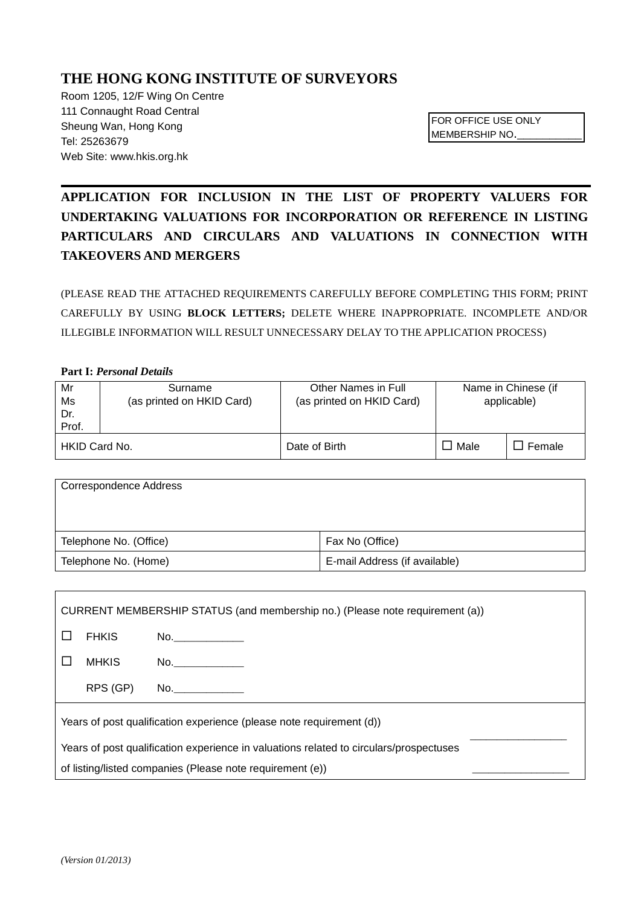## **THE HONG KONG INSTITUTE OF SURVEYORS**

Room 1205, 12/F Wing On Centre 111 Connaught Road Central Sheung Wan, Hong Kong Tel: 25263679 Web Site: www.hkis.org.hk

FOR OFFICE USE ONLY MEMBERSHIP NO.\_

# **APPLICATION FOR INCLUSION IN THE LIST OF PROPERTY VALUERS FOR UNDERTAKING VALUATIONS FOR INCORPORATION OR REFERENCE IN LISTING PARTICULARS AND CIRCULARS AND VALUATIONS IN CONNECTION WITH TAKEOVERS AND MERGERS**

(PLEASE READ THE ATTACHED REQUIREMENTS CAREFULLY BEFORE COMPLETING THIS FORM; PRINT CAREFULLY BY USING **BLOCK LETTERS;** DELETE WHERE INAPPROPRIATE. INCOMPLETE AND/OR ILLEGIBLE INFORMATION WILL RESULT UNNECESSARY DELAY TO THE APPLICATION PROCESS)

#### **Part I:** *Personal Details*

| Mr<br>Ms<br>Dr.<br>Prof. | Surname<br>(as printed on HKID Card) | Other Names in Full<br>(as printed on HKID Card) | Name in Chinese (if<br>applicable) |        |
|--------------------------|--------------------------------------|--------------------------------------------------|------------------------------------|--------|
| HKID Card No.            |                                      | Date of Birth                                    | Male                               | Female |

| Correspondence Address |                               |
|------------------------|-------------------------------|
| Telephone No. (Office) | Fax No (Office)               |
| Telephone No. (Home)   | E-mail Address (if available) |

| CURRENT MEMBERSHIP STATUS (and membership no.) (Please note requirement (a))           |              |                                                                                                                                                                                                                                |  |  |  |
|----------------------------------------------------------------------------------------|--------------|--------------------------------------------------------------------------------------------------------------------------------------------------------------------------------------------------------------------------------|--|--|--|
|                                                                                        | <b>FHKIS</b> | No.                                                                                                                                                                                                                            |  |  |  |
|                                                                                        | <b>MHKIS</b> | No. And the contract of the contract of the contract of the contract of the contract of the contract of the contract of the contract of the contract of the contract of the contract of the contract of the contract of the co |  |  |  |
|                                                                                        | RPS (GP)     | No. And the contract of the contract of the contract of the contract of the contract of the contract of the contract of the contract of the contract of the contract of the contract of the contract of the contract of the co |  |  |  |
| Years of post qualification experience (please note requirement (d))                   |              |                                                                                                                                                                                                                                |  |  |  |
| Years of post qualification experience in valuations related to circulars/prospectuses |              |                                                                                                                                                                                                                                |  |  |  |
| of listing/listed companies (Please note requirement (e))                              |              |                                                                                                                                                                                                                                |  |  |  |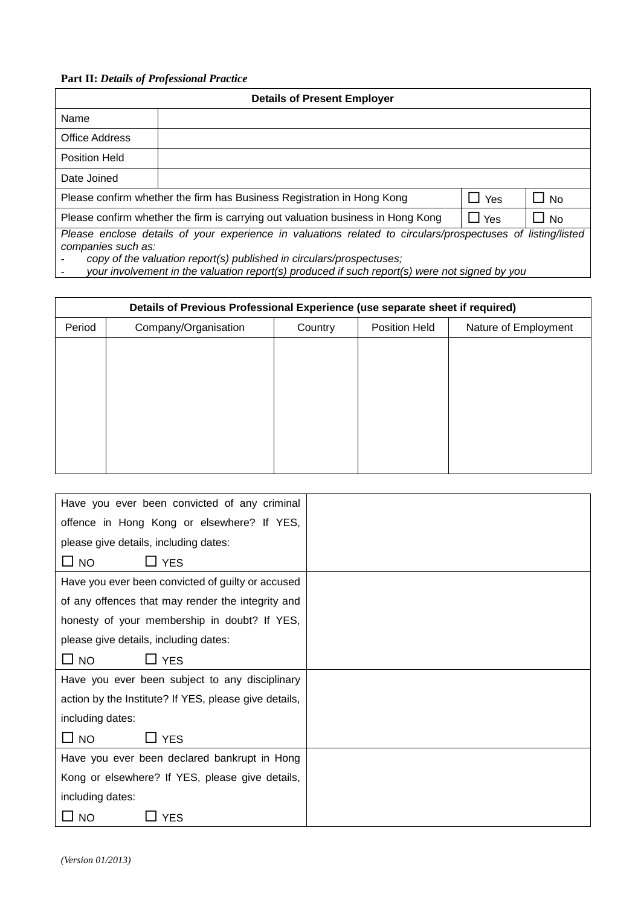## **Part II:** *Details of Professional Practice*

| <b>Details of Present Employer</b>                                                                                                                                                                                                                                                                         |  |  |  |  |  |
|------------------------------------------------------------------------------------------------------------------------------------------------------------------------------------------------------------------------------------------------------------------------------------------------------------|--|--|--|--|--|
| Name                                                                                                                                                                                                                                                                                                       |  |  |  |  |  |
| Office Address                                                                                                                                                                                                                                                                                             |  |  |  |  |  |
| <b>Position Held</b>                                                                                                                                                                                                                                                                                       |  |  |  |  |  |
| Date Joined                                                                                                                                                                                                                                                                                                |  |  |  |  |  |
| Please confirm whether the firm has Business Registration in Hong Kong<br>$\Box$ Yes<br>$\Box$ No                                                                                                                                                                                                          |  |  |  |  |  |
| Please confirm whether the firm is carrying out valuation business in Hong Kong<br>$\Box$ Yes<br><b>No</b>                                                                                                                                                                                                 |  |  |  |  |  |
| Please enclose details of your experience in valuations related to circulars/prospectuses of listing/listed<br>companies such as:<br>copy of the valuation report(s) published in circulars/prospectuses;<br>your involvement in the valuation report(s) produced if such report(s) were not signed by you |  |  |  |  |  |

| Details of Previous Professional Experience (use separate sheet if required) |                      |         |                      |                      |  |  |
|------------------------------------------------------------------------------|----------------------|---------|----------------------|----------------------|--|--|
| Period                                                                       | Company/Organisation | Country | <b>Position Held</b> | Nature of Employment |  |  |
|                                                                              |                      |         |                      |                      |  |  |
|                                                                              |                      |         |                      |                      |  |  |
|                                                                              |                      |         |                      |                      |  |  |
|                                                                              |                      |         |                      |                      |  |  |
|                                                                              |                      |         |                      |                      |  |  |
|                                                                              |                      |         |                      |                      |  |  |
|                                                                              |                      |         |                      |                      |  |  |

| Have you ever been convicted of any criminal          |  |
|-------------------------------------------------------|--|
| offence in Hong Kong or elsewhere? If YES,            |  |
| please give details, including dates:                 |  |
| $\Box$ YES<br>$\square$ NO                            |  |
| Have you ever been convicted of guilty or accused     |  |
| of any offences that may render the integrity and     |  |
| honesty of your membership in doubt? If YES,          |  |
| please give details, including dates:                 |  |
| $\square$ NO<br>$\Box$ YES                            |  |
| Have you ever been subject to any disciplinary        |  |
| action by the Institute? If YES, please give details, |  |
| including dates:                                      |  |
| ⊔ NO<br>$\sqcup$ YES                                  |  |
| Have you ever been declared bankrupt in Hong          |  |
| Kong or elsewhere? If YES, please give details,       |  |
| including dates:                                      |  |
| ⊔ NO<br><b>YES</b>                                    |  |